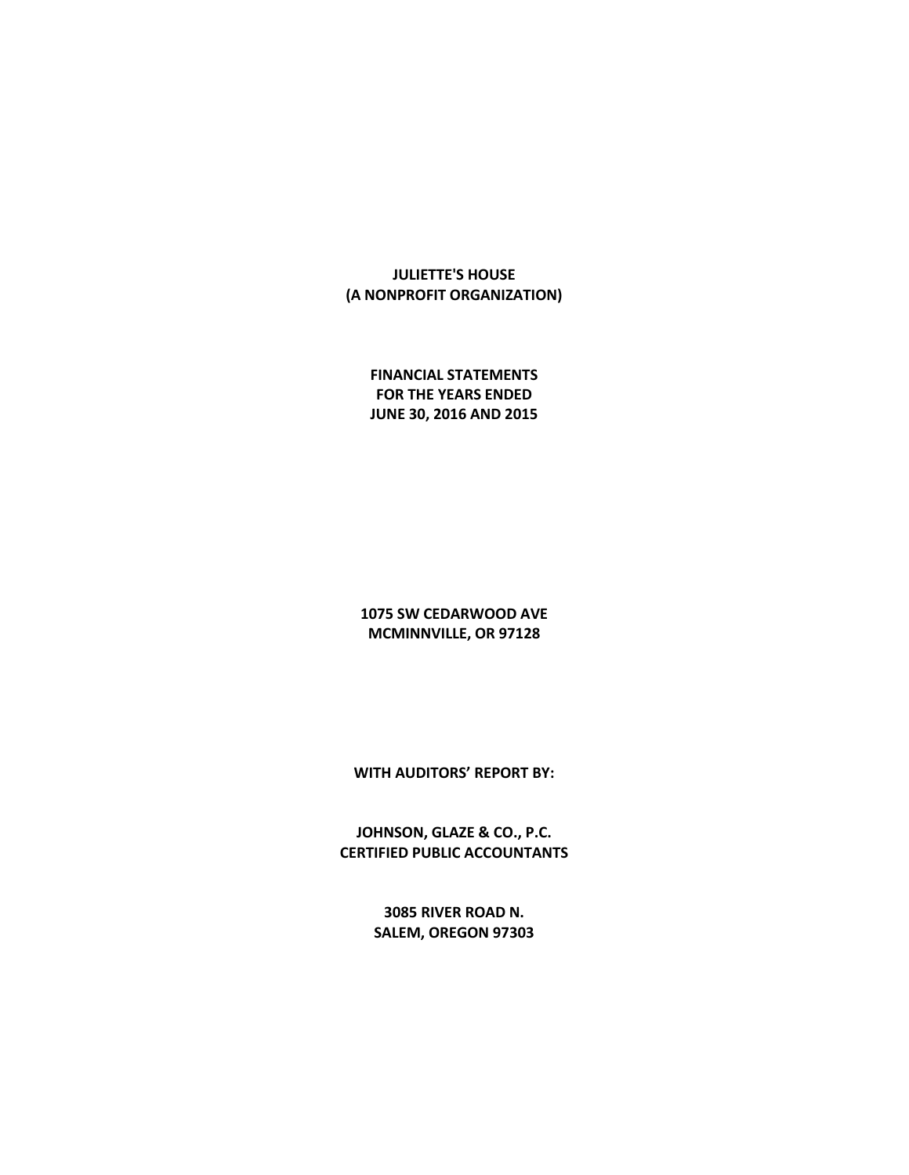# **FINANCIAL STATEMENTS FOR THE YEARS ENDED JUNE 30, 2016 AND 2015**

**1075 SW CEDARWOOD AVE MCMINNVILLE, OR 97128**

**WITH AUDITORS' REPORT BY:**

**JOHNSON, GLAZE & CO., P.C. CERTIFIED PUBLIC ACCOUNTANTS**

> **3085 RIVER ROAD N. SALEM, OREGON 97303**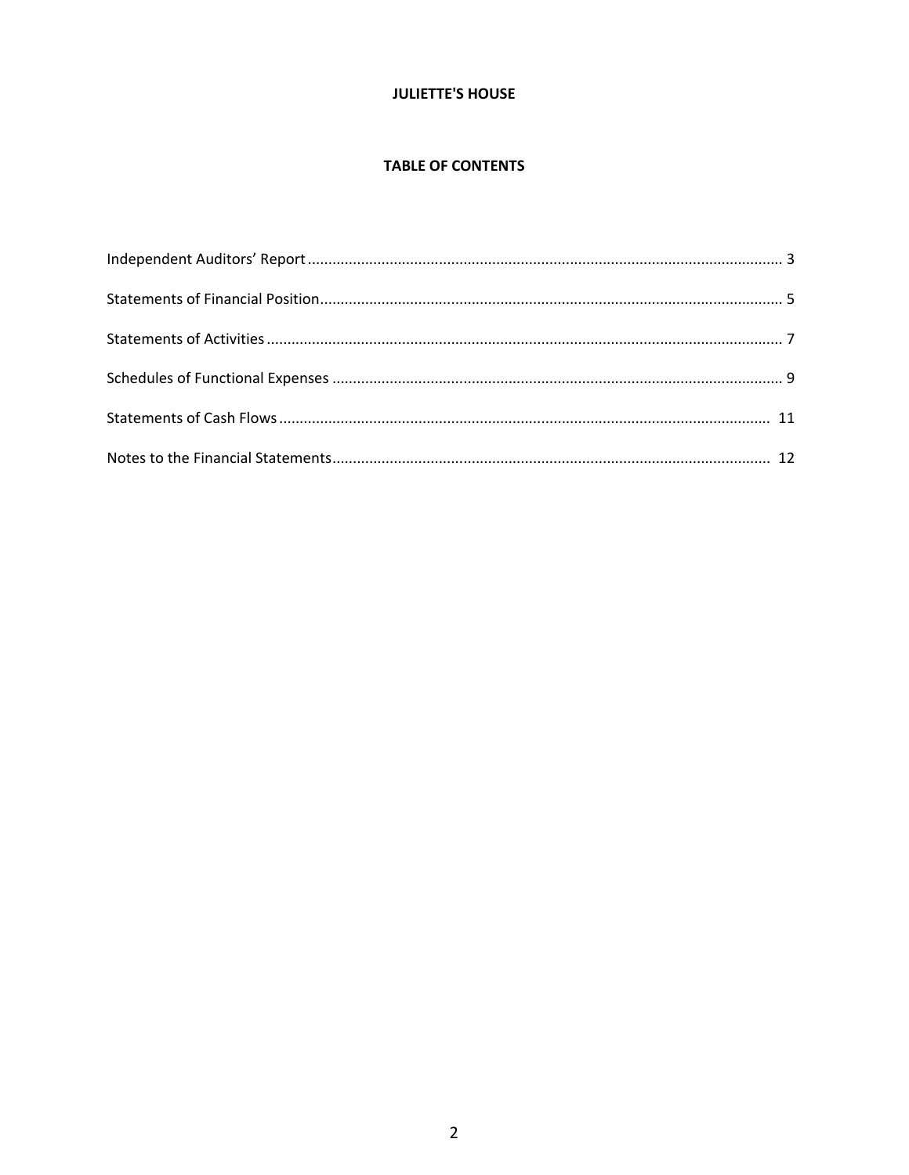# **JULIETTE'S HOUSE**

# **TABLE OF CONTENTS**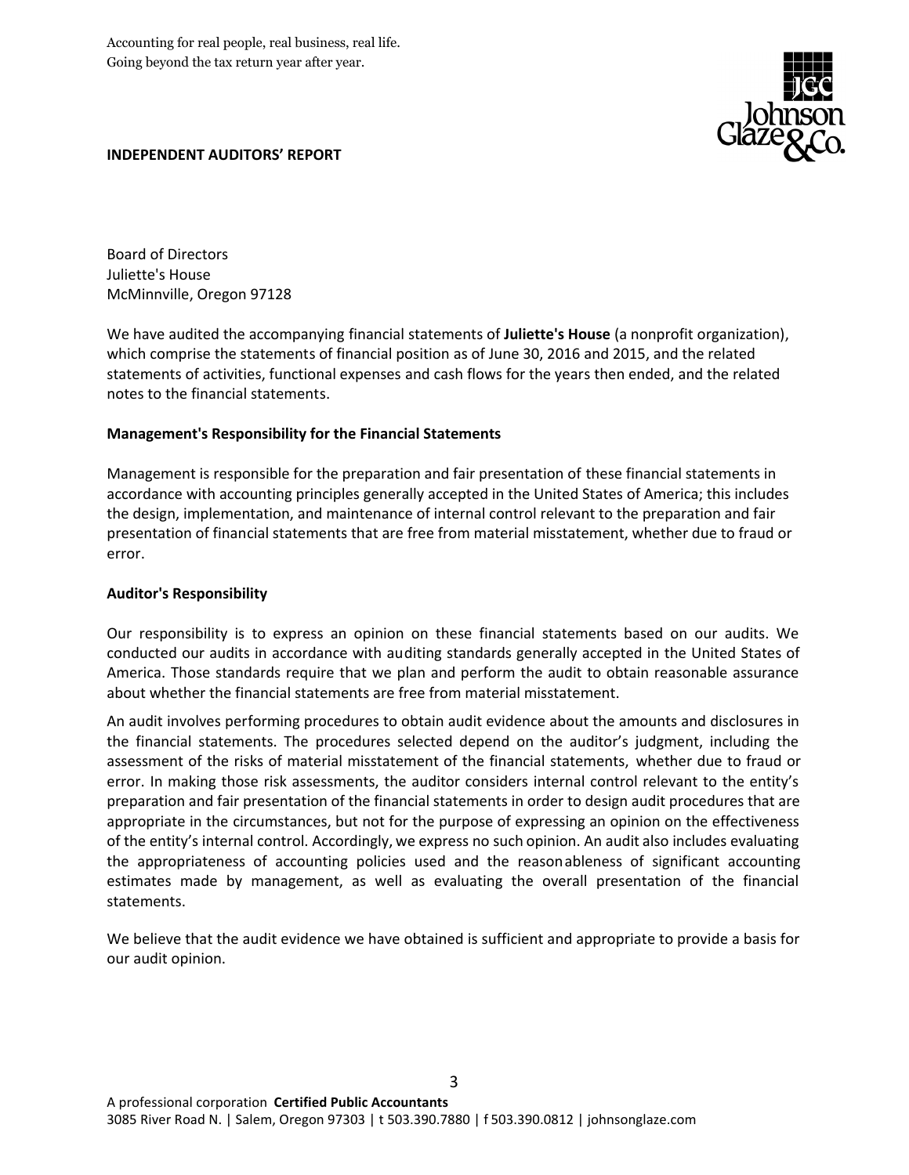

#### **INDEPENDENT AUDITORS' REPORT**

Board of Directors Juliette's House McMinnville, Oregon 97128

We have audited the accompanying financial statements of **Juliette's House** (a nonprofit organization), which comprise the statements of financial position as of June 30, 2016 and 2015, and the related statements of activities, functional expenses and cash flows for the years then ended, and the related notes to the financial statements.

### **Management's Responsibility for the Financial Statements**

Management is responsible for the preparation and fair presentation of these financial statements in accordance with accounting principles generally accepted in the United States of America; this includes the design, implementation, and maintenance of internal control relevant to the preparation and fair presentation of financial statements that are free from material misstatement, whether due to fraud or error.

### **Auditor's Responsibility**

Our responsibility is to express an opinion on these financial statements based on our audits. We conducted our audits in accordance with auditing standards generally accepted in the United States of America. Those standards require that we plan and perform the audit to obtain reasonable assurance about whether the financial statements are free from material misstatement.

An audit involves performing procedures to obtain audit evidence about the amounts and disclosures in the financial statements. The procedures selected depend on the auditor's judgment, including the assessment of the risks of material misstatement of the financial statements, whether due to fraud or error. In making those risk assessments, the auditor considers internal control relevant to the entity's preparation and fair presentation of the financial statements in order to design audit procedures that are appropriate in the circumstances, but not for the purpose of expressing an opinion on the effectiveness of the entity's internal control. Accordingly, we express no such opinion. An audit also includes evaluating the appropriateness of accounting policies used and the reasonableness of significant accounting estimates made by management, as well as evaluating the overall presentation of the financial statements.

We believe that the audit evidence we have obtained is sufficient and appropriate to provide a basis for our audit opinion.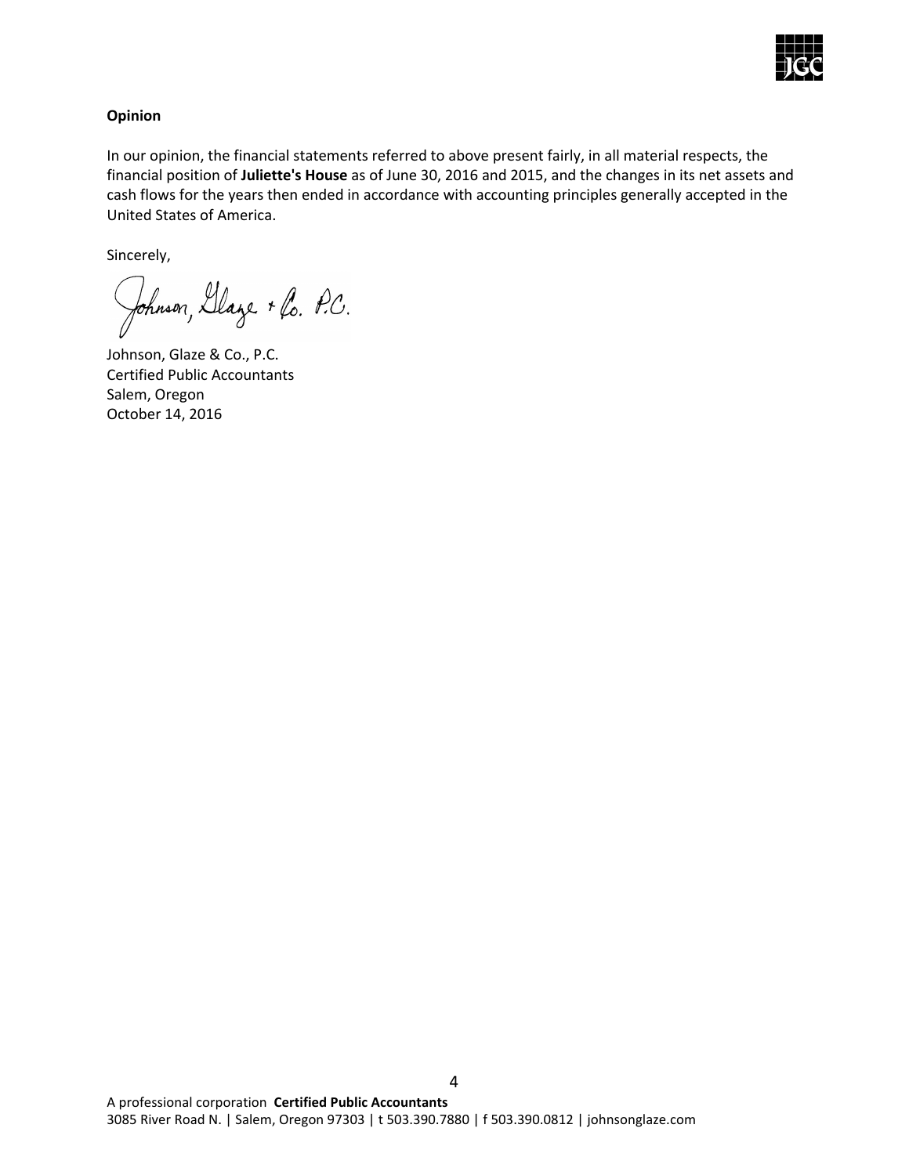

### **Opinion**

In our opinion, the financial statements referred to above present fairly, in all material respects, the financial position of **Juliette's House** as of June 30, 2016 and 2015, and the changes in its net assets and cash flows for the years then ended in accordance with accounting principles generally accepted in the United States of America.

Sincerely,

Johnson, Glaze + Co. P.C.

Johnson, Glaze & Co., P.C. Certified Public Accountants Salem, Oregon October 14, 2016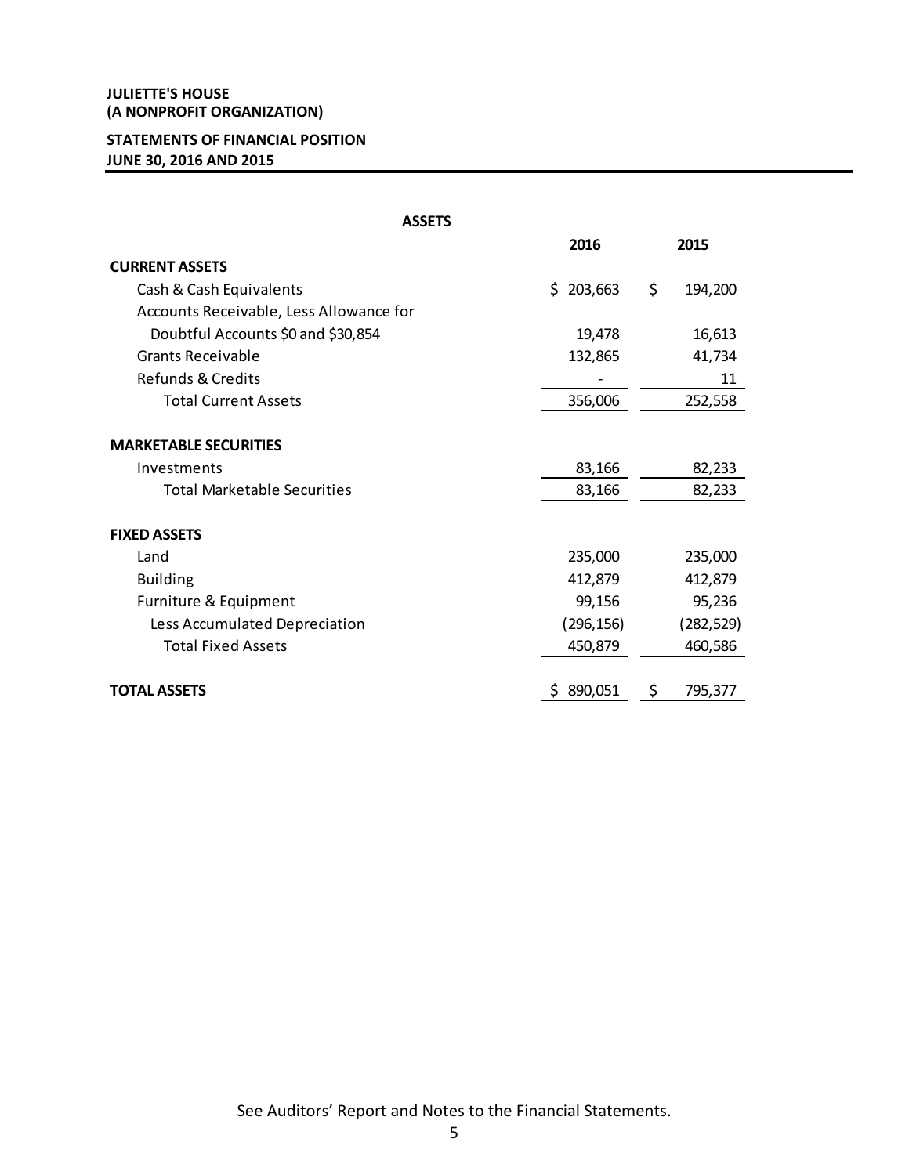# **STATEMENTS OF FINANCIAL POSITION JUNE 30, 2016 AND 2015**

| <b>ASSETS</b>                           |           |      |           |  |  |  |  |  |
|-----------------------------------------|-----------|------|-----------|--|--|--|--|--|
|                                         | 2016      | 2015 |           |  |  |  |  |  |
| <b>CURRENT ASSETS</b>                   |           |      |           |  |  |  |  |  |
| Cash & Cash Equivalents                 | \$203,663 | \$   | 194,200   |  |  |  |  |  |
| Accounts Receivable, Less Allowance for |           |      |           |  |  |  |  |  |
| Doubtful Accounts \$0 and \$30,854      | 19,478    |      | 16,613    |  |  |  |  |  |
| <b>Grants Receivable</b>                | 132,865   |      | 41,734    |  |  |  |  |  |
| <b>Refunds &amp; Credits</b>            |           |      | 11        |  |  |  |  |  |
| <b>Total Current Assets</b>             | 356,006   |      | 252,558   |  |  |  |  |  |
|                                         |           |      |           |  |  |  |  |  |
| <b>MARKETABLE SECURITIES</b>            |           |      |           |  |  |  |  |  |
| Investments                             | 83,166    |      | 82,233    |  |  |  |  |  |
| <b>Total Marketable Securities</b>      | 83,166    |      | 82,233    |  |  |  |  |  |
| <b>FIXED ASSETS</b>                     |           |      |           |  |  |  |  |  |
| Land                                    | 235,000   |      | 235,000   |  |  |  |  |  |
| <b>Building</b>                         | 412,879   |      | 412,879   |  |  |  |  |  |
| Furniture & Equipment                   | 99,156    |      | 95,236    |  |  |  |  |  |
| Less Accumulated Depreciation           | (296,156) |      | (282,529) |  |  |  |  |  |
| <b>Total Fixed Assets</b>               | 450,879   |      | 460,586   |  |  |  |  |  |
|                                         |           |      |           |  |  |  |  |  |
| <b>TOTAL ASSETS</b>                     | \$890,051 |      | 795,377   |  |  |  |  |  |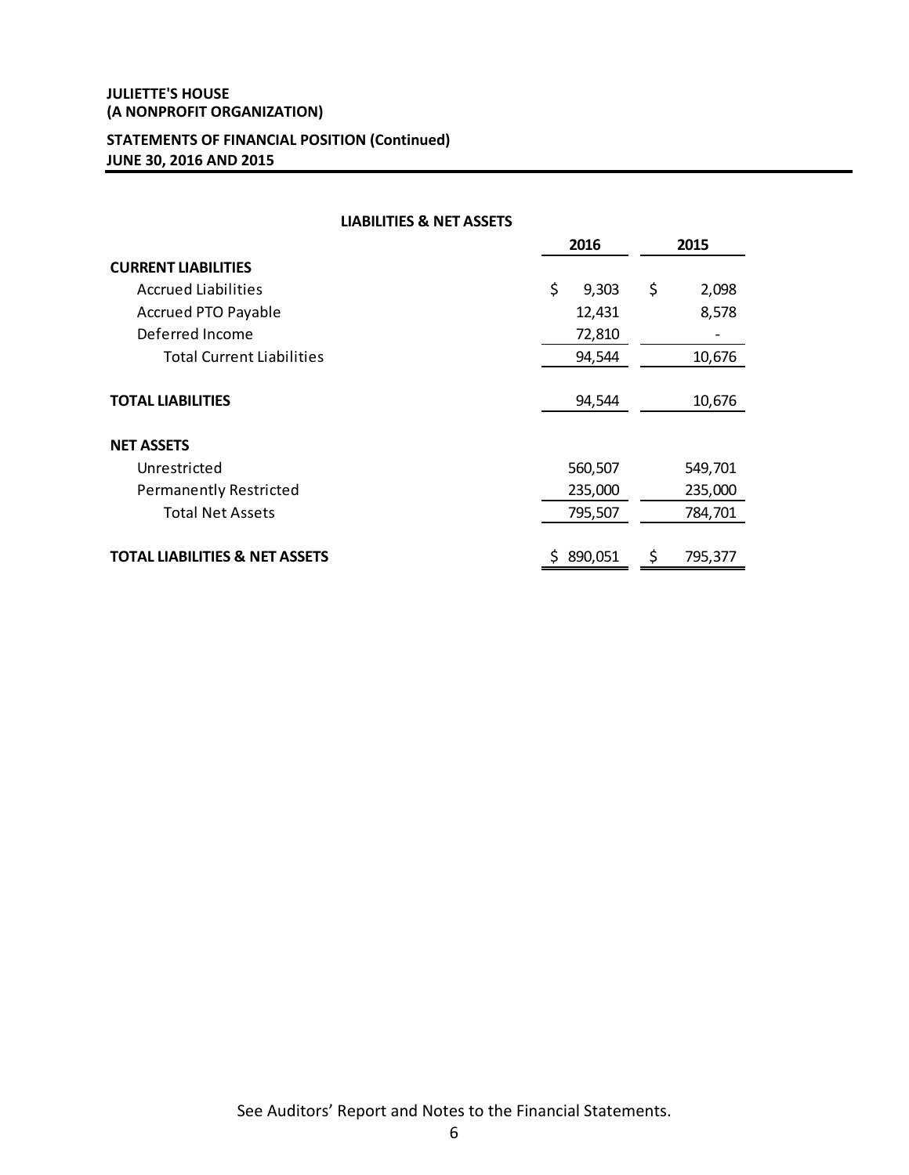# **STATEMENTS OF FINANCIAL POSITION (Continued) JUNE 30, 2016 AND 2015**

| <b>LIABILITIES &amp; NET ASSETS</b>       |    |         |    |         |  |  |  |  |
|-------------------------------------------|----|---------|----|---------|--|--|--|--|
|                                           |    | 2016    |    | 2015    |  |  |  |  |
| <b>CURRENT LIABILITIES</b>                |    |         |    |         |  |  |  |  |
| <b>Accrued Liabilities</b>                | \$ | 9,303   | \$ | 2,098   |  |  |  |  |
| <b>Accrued PTO Payable</b>                |    | 12,431  |    | 8,578   |  |  |  |  |
| Deferred Income                           |    | 72,810  |    |         |  |  |  |  |
| <b>Total Current Liabilities</b>          |    | 94,544  |    | 10,676  |  |  |  |  |
|                                           |    |         |    |         |  |  |  |  |
| <b>TOTAL LIABILITIES</b>                  |    | 94,544  |    | 10,676  |  |  |  |  |
| <b>NET ASSETS</b>                         |    |         |    |         |  |  |  |  |
| Unrestricted                              |    | 560,507 |    | 549,701 |  |  |  |  |
| <b>Permanently Restricted</b>             |    | 235,000 |    | 235,000 |  |  |  |  |
| <b>Total Net Assets</b>                   |    | 795,507 |    | 784,701 |  |  |  |  |
|                                           |    |         |    |         |  |  |  |  |
| <b>TOTAL LIABILITIES &amp; NET ASSETS</b> |    | 890,051 | Ş  | 795,377 |  |  |  |  |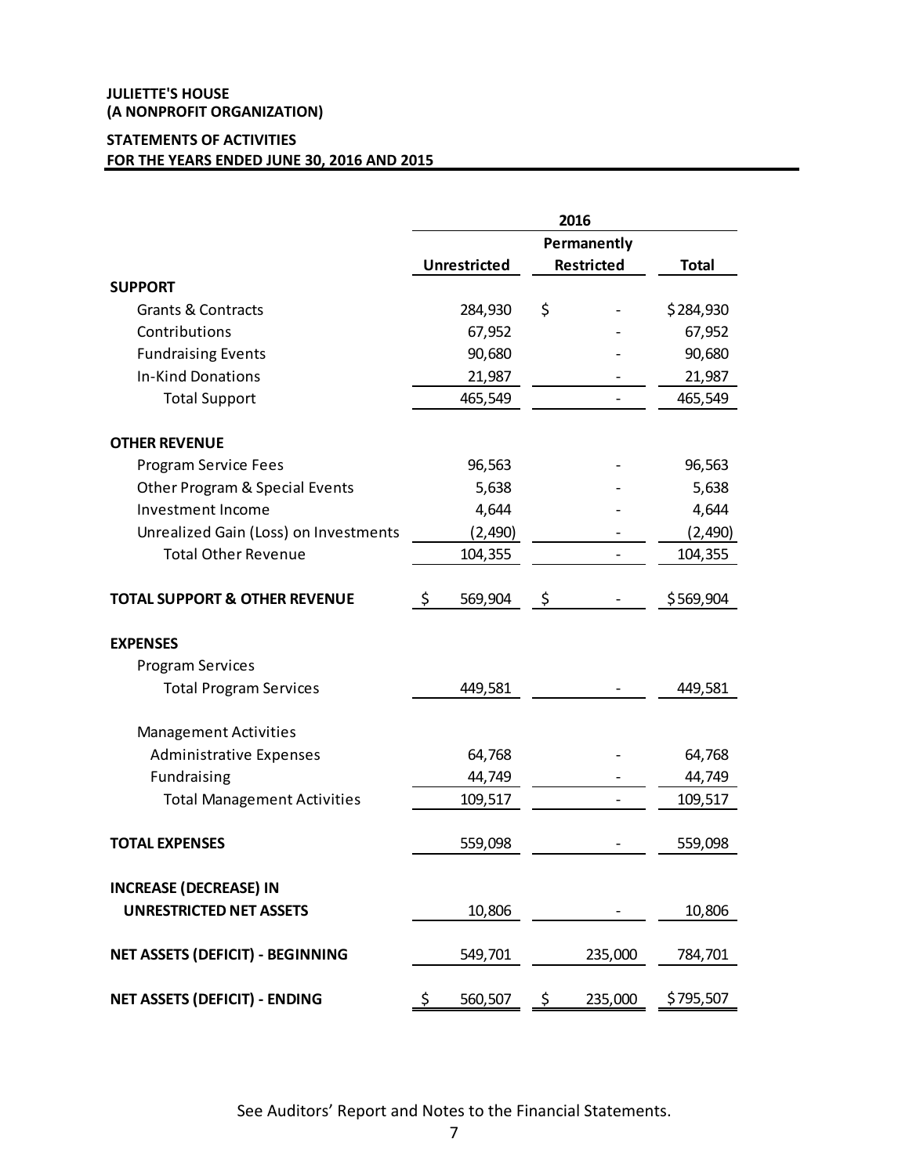# **STATEMENTS OF ACTIVITIES FOR THE YEARS ENDED JUNE 30, 2016 AND 2015**

|                                          | 2016        |                     |    |                   |              |  |
|------------------------------------------|-------------|---------------------|----|-------------------|--------------|--|
|                                          | Permanently |                     |    |                   |              |  |
|                                          |             | <b>Unrestricted</b> |    | <b>Restricted</b> | <b>Total</b> |  |
| <b>SUPPORT</b>                           |             |                     |    |                   |              |  |
| <b>Grants &amp; Contracts</b>            |             | 284,930             | \$ |                   | \$284,930    |  |
| Contributions                            |             | 67,952              |    |                   | 67,952       |  |
| <b>Fundraising Events</b>                |             | 90,680              |    |                   | 90,680       |  |
| <b>In-Kind Donations</b>                 |             | 21,987              |    |                   | 21,987       |  |
| <b>Total Support</b>                     |             | 465,549             |    |                   | 465,549      |  |
| <b>OTHER REVENUE</b>                     |             |                     |    |                   |              |  |
| Program Service Fees                     |             | 96,563              |    |                   | 96,563       |  |
| Other Program & Special Events           |             | 5,638               |    |                   | 5,638        |  |
| Investment Income                        |             | 4,644               |    |                   | 4,644        |  |
| Unrealized Gain (Loss) on Investments    |             | (2, 490)            |    |                   | (2, 490)     |  |
| <b>Total Other Revenue</b>               |             | 104,355             |    |                   | 104,355      |  |
| <b>TOTAL SUPPORT &amp; OTHER REVENUE</b> | $\zeta$     | 569,904             | \$ |                   | \$569,904    |  |
| <b>EXPENSES</b>                          |             |                     |    |                   |              |  |
| <b>Program Services</b>                  |             |                     |    |                   |              |  |
| <b>Total Program Services</b>            |             | 449,581             |    |                   | 449,581      |  |
| <b>Management Activities</b>             |             |                     |    |                   |              |  |
| <b>Administrative Expenses</b>           |             | 64,768              |    |                   | 64,768       |  |
| Fundraising                              |             | 44,749              |    |                   | 44,749       |  |
| <b>Total Management Activities</b>       |             | 109,517             |    |                   | 109,517      |  |
|                                          |             |                     |    |                   |              |  |
| <b>TOTAL EXPENSES</b>                    |             | 559,098             |    |                   | 559,098      |  |
| <b>INCREASE (DECREASE) IN</b>            |             |                     |    |                   |              |  |
| <b>UNRESTRICTED NET ASSETS</b>           |             | 10,806              |    |                   | 10,806       |  |
| <b>NET ASSETS (DEFICIT) - BEGINNING</b>  |             | 549,701             |    | 235,000           | 784,701      |  |
| <b>NET ASSETS (DEFICIT) - ENDING</b>     | \$          | 560,507             | \$ | 235,000           | \$795,507    |  |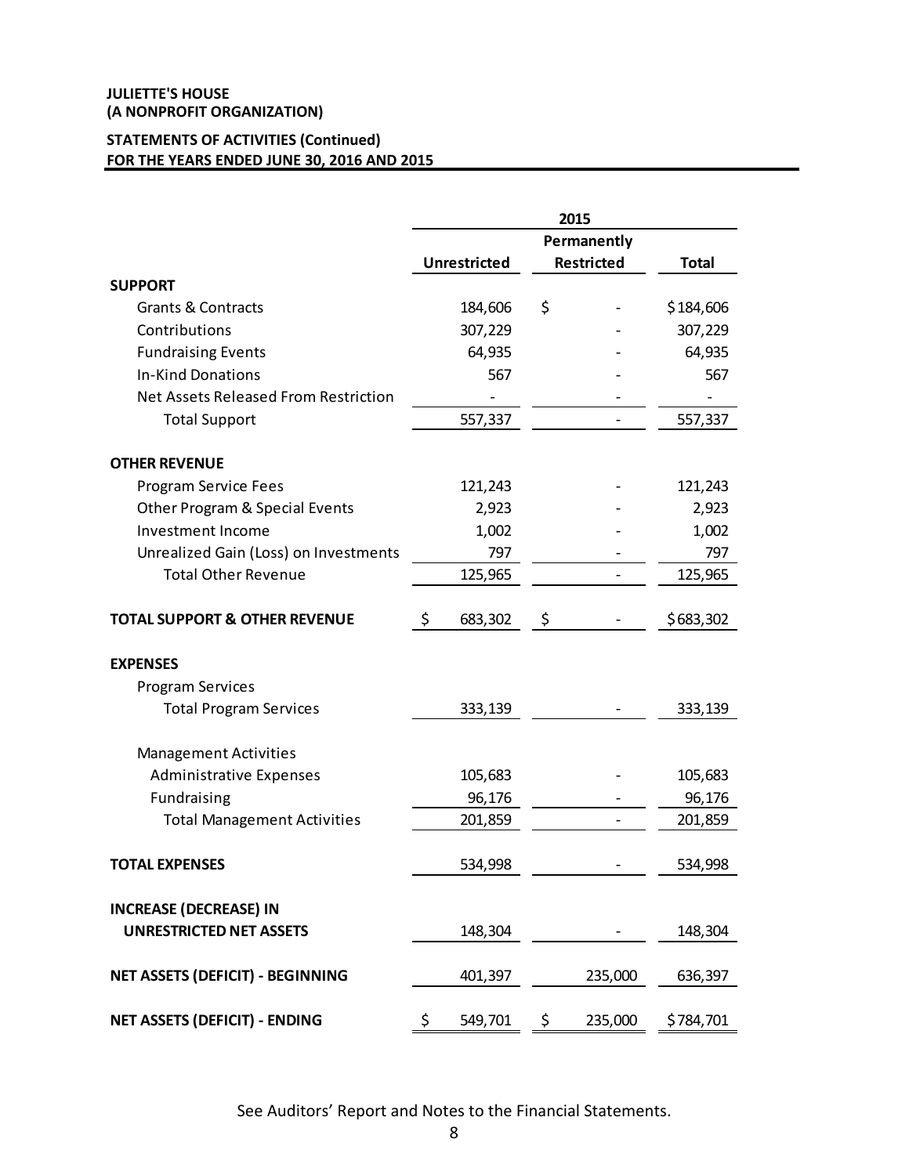# **STATEMENTS OF ACTIVITIES (Continued) FOR THE YEARS ENDED JUNE 30, 2016 AND 2015**

|                                          |                     |         | 2015                     |              |
|------------------------------------------|---------------------|---------|--------------------------|--------------|
|                                          |                     |         | Permanently              |              |
|                                          | <b>Unrestricted</b> |         | Restricted               | <b>Total</b> |
| <b>SUPPORT</b>                           |                     |         |                          |              |
| <b>Grants &amp; Contracts</b>            |                     | 184,606 | \$                       | \$184,606    |
| Contributions                            |                     | 307,229 |                          | 307,229      |
| <b>Fundraising Events</b>                |                     | 64,935  |                          | 64,935       |
| <b>In-Kind Donations</b>                 |                     | 567     |                          | 567          |
| Net Assets Released From Restriction     |                     |         |                          |              |
| <b>Total Support</b>                     |                     | 557,337 | $\overline{\phantom{0}}$ | 557,337      |
| <b>OTHER REVENUE</b>                     |                     |         |                          |              |
| Program Service Fees                     |                     | 121,243 |                          | 121,243      |
| Other Program & Special Events           |                     | 2,923   |                          | 2,923        |
| Investment Income                        |                     | 1,002   |                          | 1,002        |
| Unrealized Gain (Loss) on Investments    |                     | 797     |                          | 797          |
| <b>Total Other Revenue</b>               |                     | 125,965 |                          | 125,965      |
| <b>TOTAL SUPPORT &amp; OTHER REVENUE</b> | \$                  | 683,302 | \$                       | \$683,302    |
| <b>EXPENSES</b>                          |                     |         |                          |              |
| <b>Program Services</b>                  |                     |         |                          |              |
| <b>Total Program Services</b>            |                     | 333,139 |                          | 333,139      |
| <b>Management Activities</b>             |                     |         |                          |              |
| <b>Administrative Expenses</b>           |                     | 105,683 |                          | 105,683      |
| Fundraising                              |                     | 96,176  |                          | 96,176       |
| <b>Total Management Activities</b>       |                     | 201,859 |                          | 201,859      |
| <b>TOTAL EXPENSES</b>                    |                     | 534,998 |                          | 534,998      |
| <b>INCREASE (DECREASE) IN</b>            |                     |         |                          |              |
| <b>UNRESTRICTED NET ASSETS</b>           |                     | 148,304 |                          | 148,304      |
| NET ASSETS (DEFICIT) - BEGINNING         |                     | 401,397 | 235,000                  | 636,397      |
| <b>NET ASSETS (DEFICIT) - ENDING</b>     | \$                  | 549,701 | \$<br>235,000            | \$784,701    |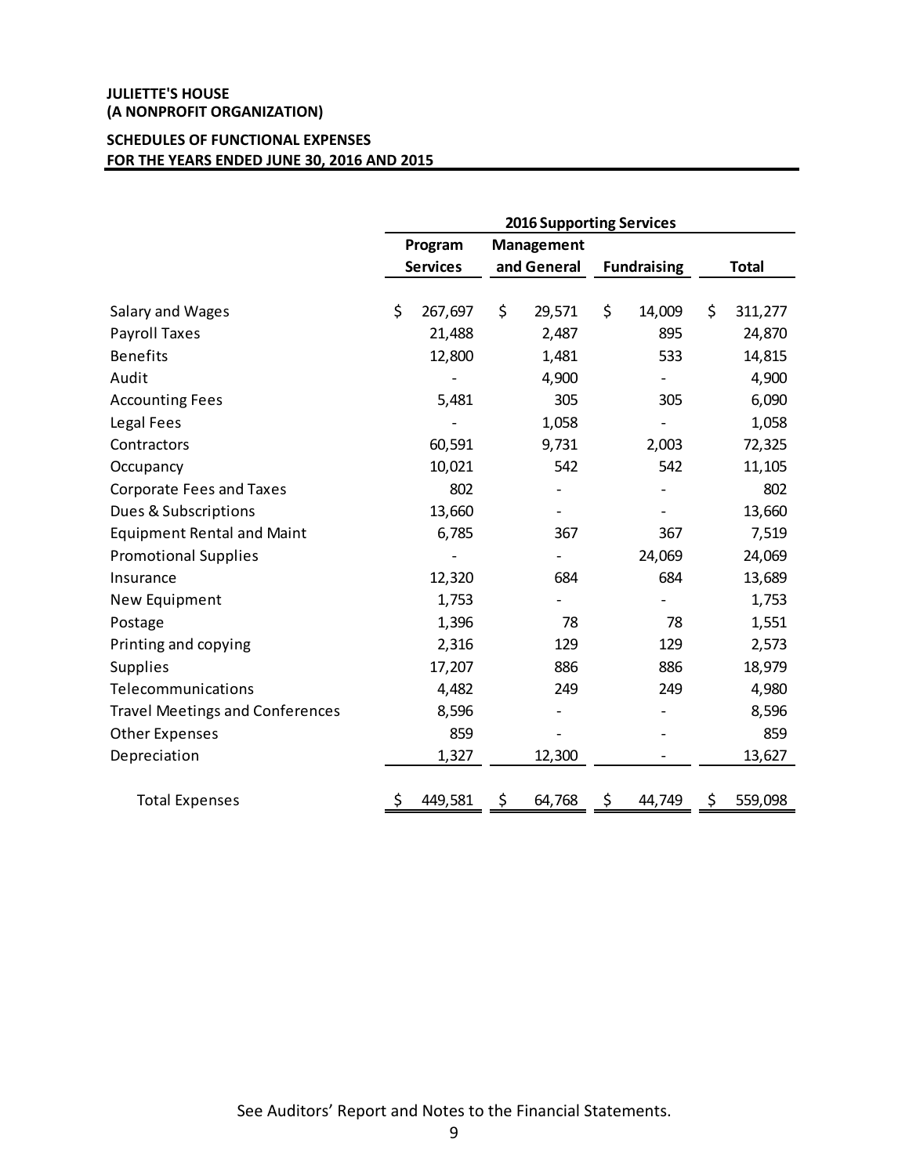# **SCHEDULES OF FUNCTIONAL EXPENSES FOR THE YEARS ENDED JUNE 30, 2016 AND 2015**

|                                        | <b>2016 Supporting Services</b> |                 |    |                   |    |                    |    |              |
|----------------------------------------|---------------------------------|-----------------|----|-------------------|----|--------------------|----|--------------|
|                                        |                                 | Program         |    | <b>Management</b> |    |                    |    |              |
|                                        |                                 | <b>Services</b> |    | and General       |    | <b>Fundraising</b> |    | <b>Total</b> |
|                                        |                                 |                 |    |                   |    |                    |    |              |
| Salary and Wages                       | \$                              | 267,697         | \$ | 29,571            | \$ | 14,009             | \$ | 311,277      |
| Payroll Taxes                          |                                 | 21,488          |    | 2,487             |    | 895                |    | 24,870       |
| <b>Benefits</b>                        |                                 | 12,800          |    | 1,481             |    | 533                |    | 14,815       |
| Audit                                  |                                 |                 |    | 4,900             |    |                    |    | 4,900        |
| <b>Accounting Fees</b>                 |                                 | 5,481           |    | 305               |    | 305                |    | 6,090        |
| Legal Fees                             |                                 |                 |    | 1,058             |    |                    |    | 1,058        |
| Contractors                            |                                 | 60,591          |    | 9,731             |    | 2,003              |    | 72,325       |
| Occupancy                              |                                 | 10,021          |    | 542               |    | 542                |    | 11,105       |
| <b>Corporate Fees and Taxes</b>        |                                 | 802             |    |                   |    |                    |    | 802          |
| Dues & Subscriptions                   |                                 | 13,660          |    |                   |    |                    |    | 13,660       |
| <b>Equipment Rental and Maint</b>      |                                 | 6,785           |    | 367               |    | 367                |    | 7,519        |
| <b>Promotional Supplies</b>            |                                 |                 |    |                   |    | 24,069             |    | 24,069       |
| Insurance                              |                                 | 12,320          |    | 684               |    | 684                |    | 13,689       |
| New Equipment                          |                                 | 1,753           |    |                   |    |                    |    | 1,753        |
| Postage                                |                                 | 1,396           |    | 78                |    | 78                 |    | 1,551        |
| Printing and copying                   |                                 | 2,316           |    | 129               |    | 129                |    | 2,573        |
| <b>Supplies</b>                        |                                 | 17,207          |    | 886               |    | 886                |    | 18,979       |
| Telecommunications                     |                                 | 4,482           |    | 249               |    | 249                |    | 4,980        |
| <b>Travel Meetings and Conferences</b> |                                 | 8,596           |    |                   |    |                    |    | 8,596        |
| <b>Other Expenses</b>                  |                                 | 859             |    |                   |    |                    |    | 859          |
| Depreciation                           |                                 | 1,327           |    | 12,300            |    |                    |    | 13,627       |
| <b>Total Expenses</b>                  | \$                              | 449,581         | \$ | 64,768            | \$ | 44,749             | \$ | 559,098      |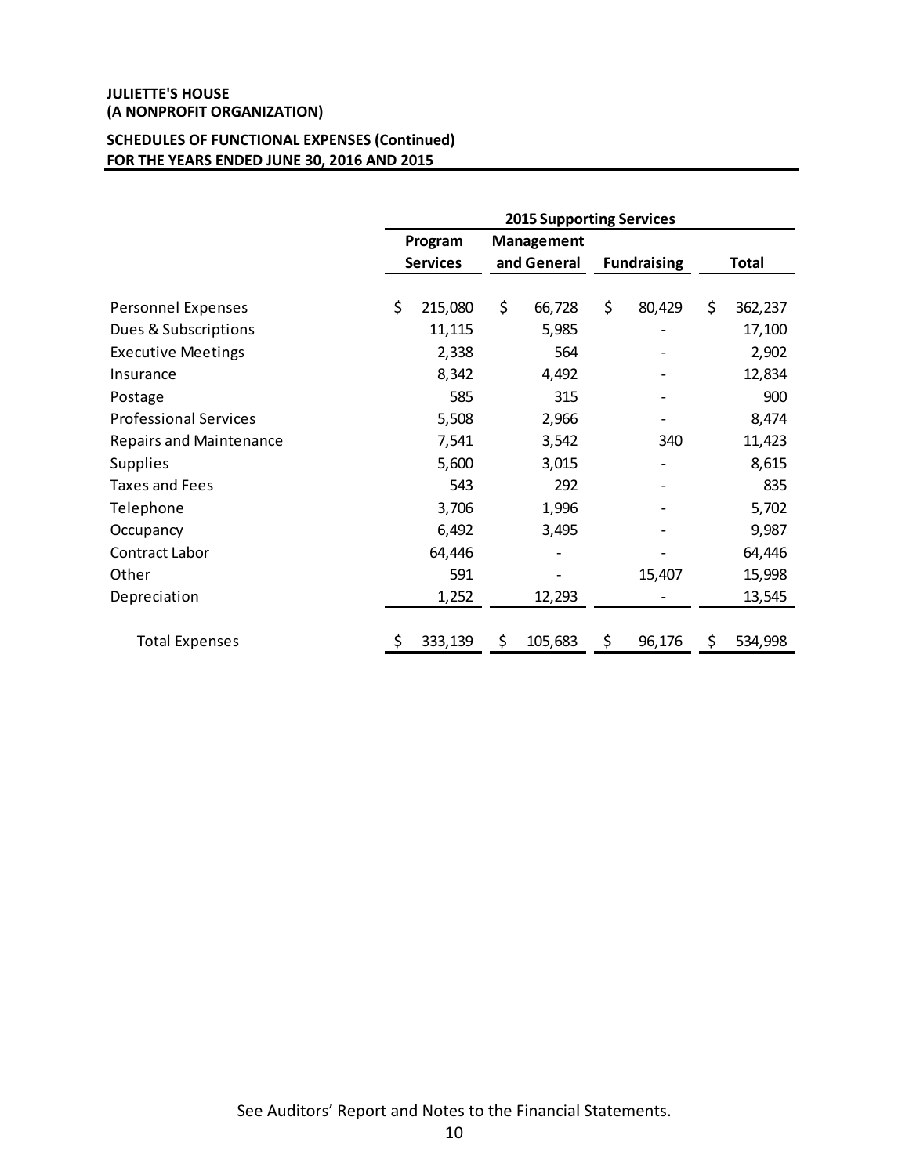# **SCHEDULES OF FUNCTIONAL EXPENSES (Continued) FOR THE YEARS ENDED JUNE 30, 2016 AND 2015**

|                                | <b>2015 Supporting Services</b> |                 |    |             |    |                    |       |         |  |  |
|--------------------------------|---------------------------------|-----------------|----|-------------|----|--------------------|-------|---------|--|--|
|                                |                                 | Program         |    | Management  |    |                    |       |         |  |  |
|                                |                                 | <b>Services</b> |    | and General |    | <b>Fundraising</b> | Total |         |  |  |
|                                |                                 |                 |    |             |    |                    |       |         |  |  |
| Personnel Expenses             | \$                              | 215,080         | \$ | 66,728      | \$ | 80,429             | \$    | 362,237 |  |  |
| Dues & Subscriptions           |                                 | 11,115          |    | 5,985       |    |                    |       | 17,100  |  |  |
| <b>Executive Meetings</b>      |                                 | 2,338           |    | 564         |    |                    |       | 2,902   |  |  |
| Insurance                      |                                 | 8,342           |    | 4,492       |    |                    |       | 12,834  |  |  |
| Postage                        |                                 | 585             |    | 315         |    |                    |       | 900     |  |  |
| <b>Professional Services</b>   |                                 | 5,508           |    | 2,966       |    |                    |       | 8,474   |  |  |
| <b>Repairs and Maintenance</b> |                                 | 7,541           |    | 3,542       |    | 340                |       | 11,423  |  |  |
| <b>Supplies</b>                |                                 | 5,600           |    | 3,015       |    |                    |       | 8,615   |  |  |
| Taxes and Fees                 |                                 | 543             |    | 292         |    |                    |       | 835     |  |  |
| Telephone                      |                                 | 3,706           |    | 1,996       |    |                    |       | 5,702   |  |  |
| Occupancy                      |                                 | 6,492           |    | 3,495       |    |                    |       | 9,987   |  |  |
| Contract Labor                 |                                 | 64,446          |    |             |    |                    |       | 64,446  |  |  |
| Other                          |                                 | 591             |    |             |    | 15,407             |       | 15,998  |  |  |
| Depreciation                   |                                 | 1,252           |    | 12,293      |    |                    |       | 13,545  |  |  |
|                                |                                 |                 |    |             |    |                    |       |         |  |  |
| <b>Total Expenses</b>          | Ş                               | 333,139         | \$ | 105,683     | \$ | 96,176             | \$    | 534,998 |  |  |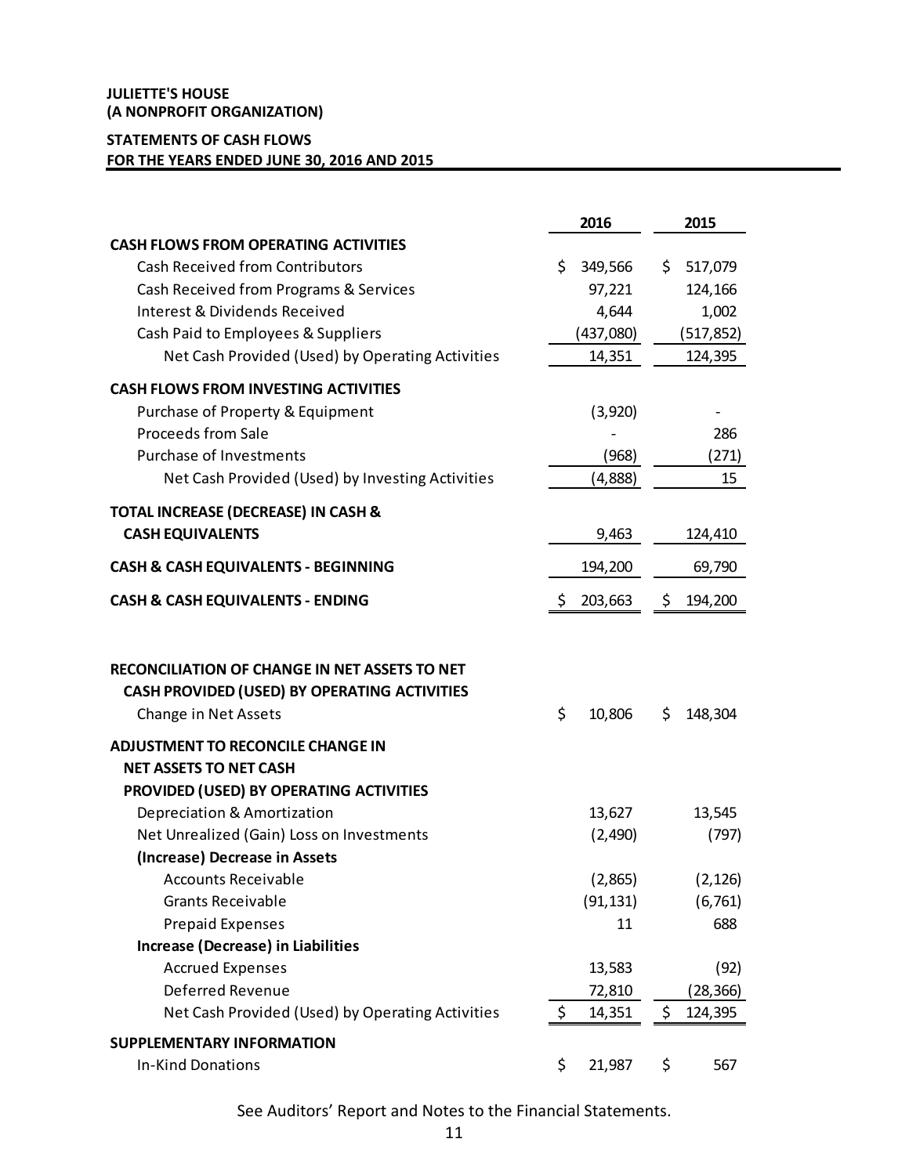# **STATEMENTS OF CASH FLOWS FOR THE YEARS ENDED JUNE 30, 2016 AND 2015**

|                                                                                                      |    | 2016      |     | 2015       |
|------------------------------------------------------------------------------------------------------|----|-----------|-----|------------|
| <b>CASH FLOWS FROM OPERATING ACTIVITIES</b>                                                          |    |           |     |            |
| <b>Cash Received from Contributors</b>                                                               | \$ | 349,566   | \$. | 517,079    |
| Cash Received from Programs & Services                                                               |    | 97,221    |     | 124,166    |
| <b>Interest &amp; Dividends Received</b>                                                             |    | 4,644     |     | 1,002      |
| Cash Paid to Employees & Suppliers                                                                   |    | (437,080) |     | (517, 852) |
| Net Cash Provided (Used) by Operating Activities                                                     |    | 14,351    |     | 124,395    |
| <b>CASH FLOWS FROM INVESTING ACTIVITIES</b>                                                          |    |           |     |            |
| Purchase of Property & Equipment                                                                     |    | (3,920)   |     |            |
| <b>Proceeds from Sale</b>                                                                            |    |           |     | 286        |
| Purchase of Investments                                                                              |    | (968)     |     | (271)      |
| Net Cash Provided (Used) by Investing Activities                                                     |    | (4,888)   |     | 15         |
| <b>TOTAL INCREASE (DECREASE) IN CASH &amp;</b>                                                       |    |           |     |            |
| <b>CASH EQUIVALENTS</b>                                                                              |    | 9,463     |     | 124,410    |
| <b>CASH &amp; CASH EQUIVALENTS - BEGINNING</b>                                                       |    | 194,200   |     | 69,790     |
| <b>CASH &amp; CASH EQUIVALENTS - ENDING</b>                                                          | S  | 203,663   | \$  | 194,200    |
| <b>RECONCILIATION OF CHANGE IN NET ASSETS TO NET</b><br>CASH PROVIDED (USED) BY OPERATING ACTIVITIES |    |           |     |            |
| Change in Net Assets                                                                                 | \$ | 10,806    | \$  | 148,304    |
| <b>ADJUSTMENT TO RECONCILE CHANGE IN</b>                                                             |    |           |     |            |
| <b>NET ASSETS TO NET CASH</b>                                                                        |    |           |     |            |
| PROVIDED (USED) BY OPERATING ACTIVITIES                                                              |    |           |     |            |
| Depreciation & Amortization                                                                          |    | 13,627    |     | 13,545     |
| Net Unrealized (Gain) Loss on Investments                                                            |    | (2, 490)  |     | (797)      |
| (Increase) Decrease in Assets                                                                        |    |           |     |            |
| Accounts Receivable                                                                                  |    | (2,865)   |     | (2, 126)   |
| <b>Grants Receivable</b>                                                                             |    | (91, 131) |     | (6, 761)   |
| <b>Prepaid Expenses</b>                                                                              |    | 11        |     | 688        |
| Increase (Decrease) in Liabilities                                                                   |    |           |     |            |
| <b>Accrued Expenses</b>                                                                              |    | 13,583    |     | (92)       |
| Deferred Revenue                                                                                     |    | 72,810    |     | (28, 366)  |
| Net Cash Provided (Used) by Operating Activities                                                     | \$ | 14,351    | \$  | 124,395    |
| <b>SUPPLEMENTARY INFORMATION</b>                                                                     |    |           |     |            |
| In-Kind Donations                                                                                    | \$ | 21,987    | \$  | 567        |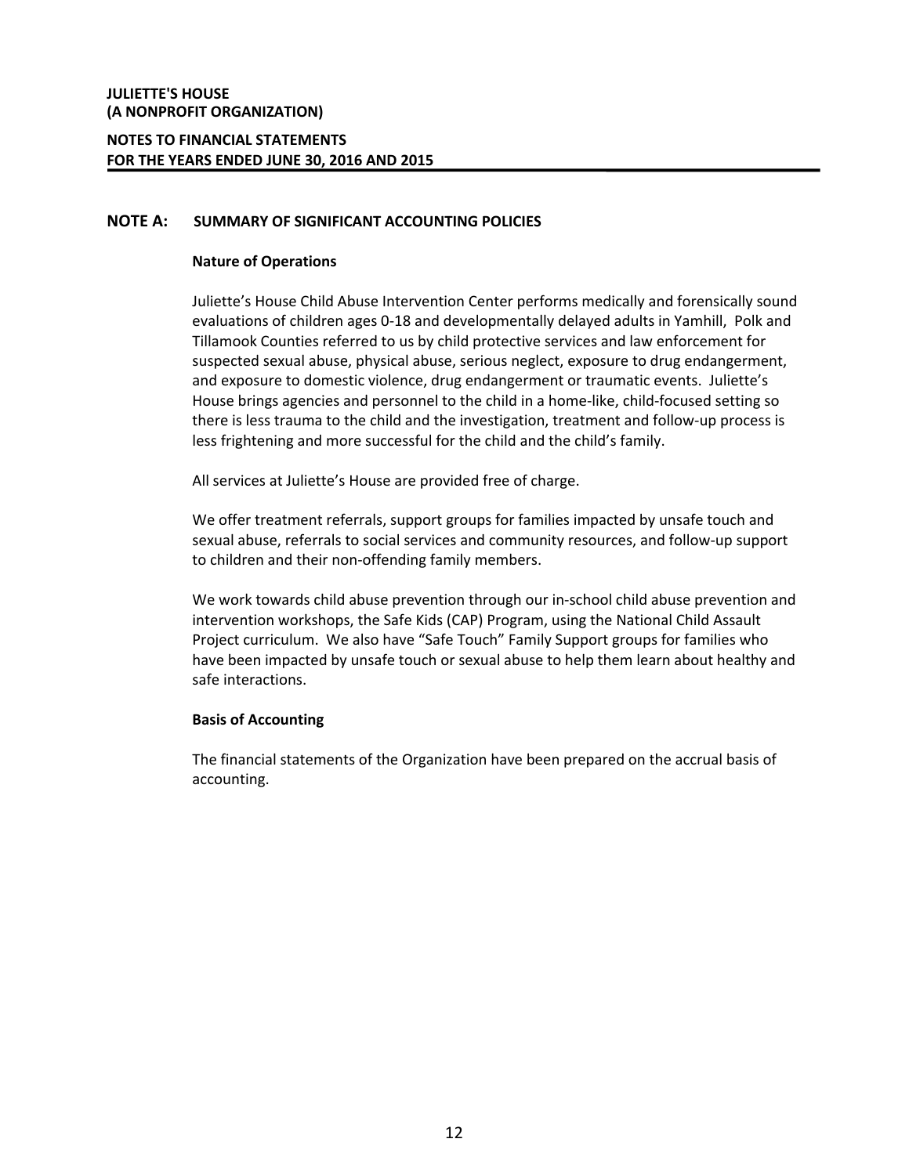### **NOTE A: SUMMARY OF SIGNIFICANT ACCOUNTING POLICIES**

### **Nature of Operations**

Juliette's House Child Abuse Intervention Center performs medically and forensically sound evaluations of children ages 0-18 and developmentally delayed adults in Yamhill, Polk and Tillamook Counties referred to us by child protective services and law enforcement for suspected sexual abuse, physical abuse, serious neglect, exposure to drug endangerment, and exposure to domestic violence, drug endangerment or traumatic events. Juliette's House brings agencies and personnel to the child in a home-like, child-focused setting so there is less trauma to the child and the investigation, treatment and follow-up process is less frightening and more successful for the child and the child's family.

All services at Juliette's House are provided free of charge.

We offer treatment referrals, support groups for families impacted by unsafe touch and sexual abuse, referrals to social services and community resources, and follow-up support to children and their non-offending family members.

We work towards child abuse prevention through our in-school child abuse prevention and intervention workshops, the Safe Kids (CAP) Program, using the National Child Assault Project curriculum. We also have "Safe Touch" Family Support groups for families who have been impacted by unsafe touch or sexual abuse to help them learn about healthy and safe interactions.

#### **Basis of Accounting**

The financial statements of the Organization have been prepared on the accrual basis of accounting.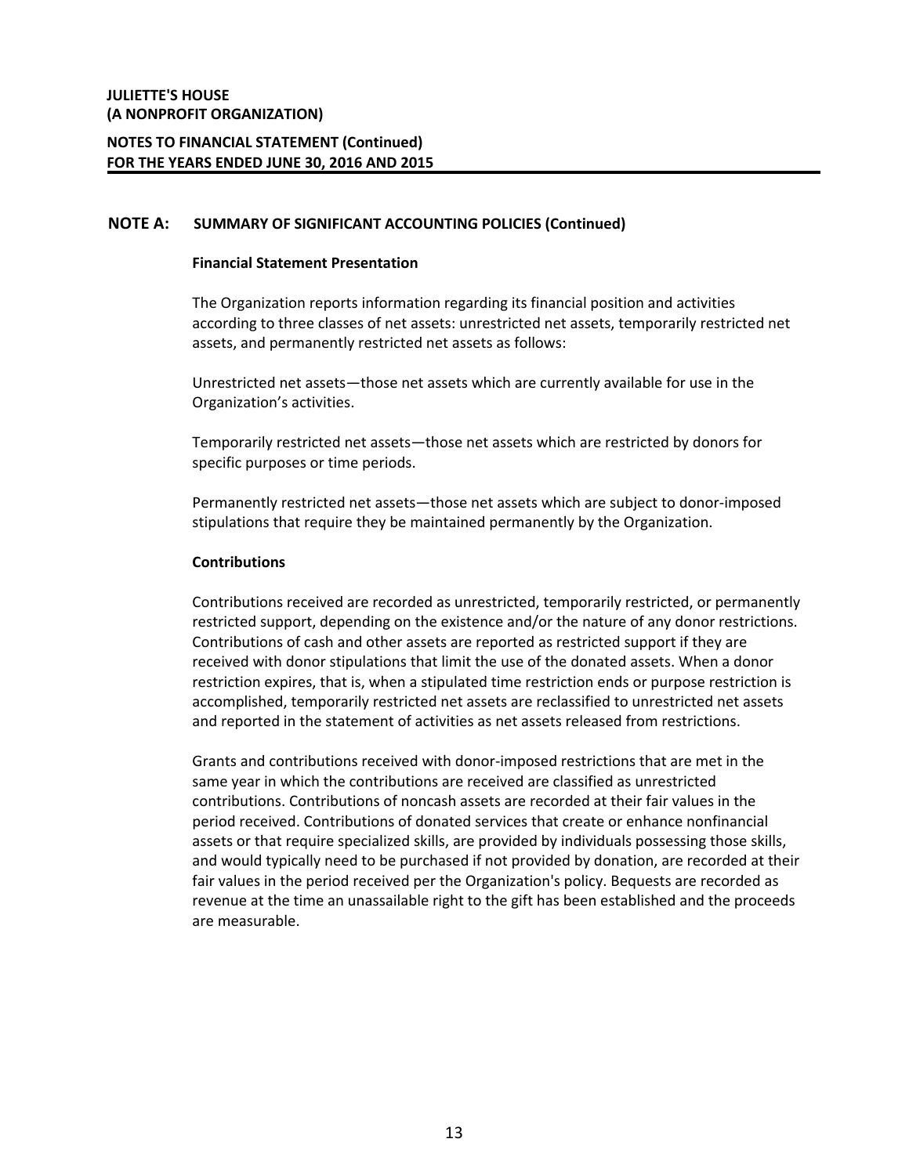### **NOTE A: SUMMARY OF SIGNIFICANT ACCOUNTING POLICIES (Continued)**

#### **Financial Statement Presentation**

The Organization reports information regarding its financial position and activities according to three classes of net assets: unrestricted net assets, temporarily restricted net assets, and permanently restricted net assets as follows:

Unrestricted net assets—those net assets which are currently available for use in the Organization's activities.

Temporarily restricted net assets—those net assets which are restricted by donors for specific purposes or time periods.

Permanently restricted net assets—those net assets which are subject to donor-imposed stipulations that require they be maintained permanently by the Organization.

#### **Contributions**

Contributions received are recorded as unrestricted, temporarily restricted, or permanently restricted support, depending on the existence and/or the nature of any donor restrictions. Contributions of cash and other assets are reported as restricted support if they are received with donor stipulations that limit the use of the donated assets. When a donor restriction expires, that is, when a stipulated time restriction ends or purpose restriction is accomplished, temporarily restricted net assets are reclassified to unrestricted net assets and reported in the statement of activities as net assets released from restrictions.

Grants and contributions received with donor-imposed restrictions that are met in the same year in which the contributions are received are classified as unrestricted contributions. Contributions of noncash assets are recorded at their fair values in the period received. Contributions of donated services that create or enhance nonfinancial assets or that require specialized skills, are provided by individuals possessing those skills, and would typically need to be purchased if not provided by donation, are recorded at their fair values in the period received per the Organization's policy. Bequests are recorded as revenue at the time an unassailable right to the gift has been established and the proceeds are measurable.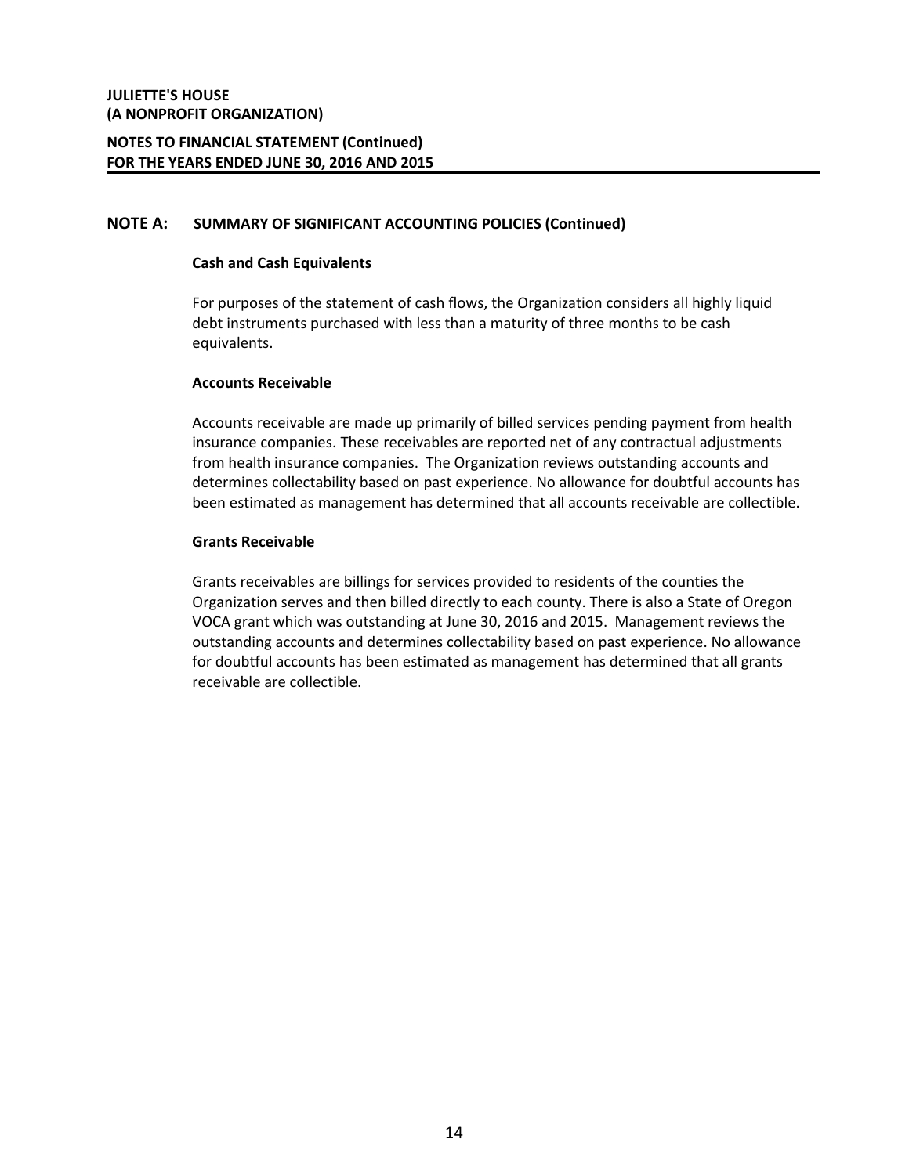### **NOTE A: SUMMARY OF SIGNIFICANT ACCOUNTING POLICIES (Continued)**

#### **Cash and Cash Equivalents**

For purposes of the statement of cash flows, the Organization considers all highly liquid debt instruments purchased with less than a maturity of three months to be cash equivalents.

### **Accounts Receivable**

Accounts receivable are made up primarily of billed services pending payment from health insurance companies. These receivables are reported net of any contractual adjustments from health insurance companies. The Organization reviews outstanding accounts and determines collectability based on past experience. No allowance for doubtful accounts has been estimated as management has determined that all accounts receivable are collectible.

### **Grants Receivable**

Grants receivables are billings for services provided to residents of the counties the Organization serves and then billed directly to each county. There is also a State of Oregon VOCA grant which was outstanding at June 30, 2016 and 2015. Management reviews the outstanding accounts and determines collectability based on past experience. No allowance for doubtful accounts has been estimated as management has determined that all grants receivable are collectible.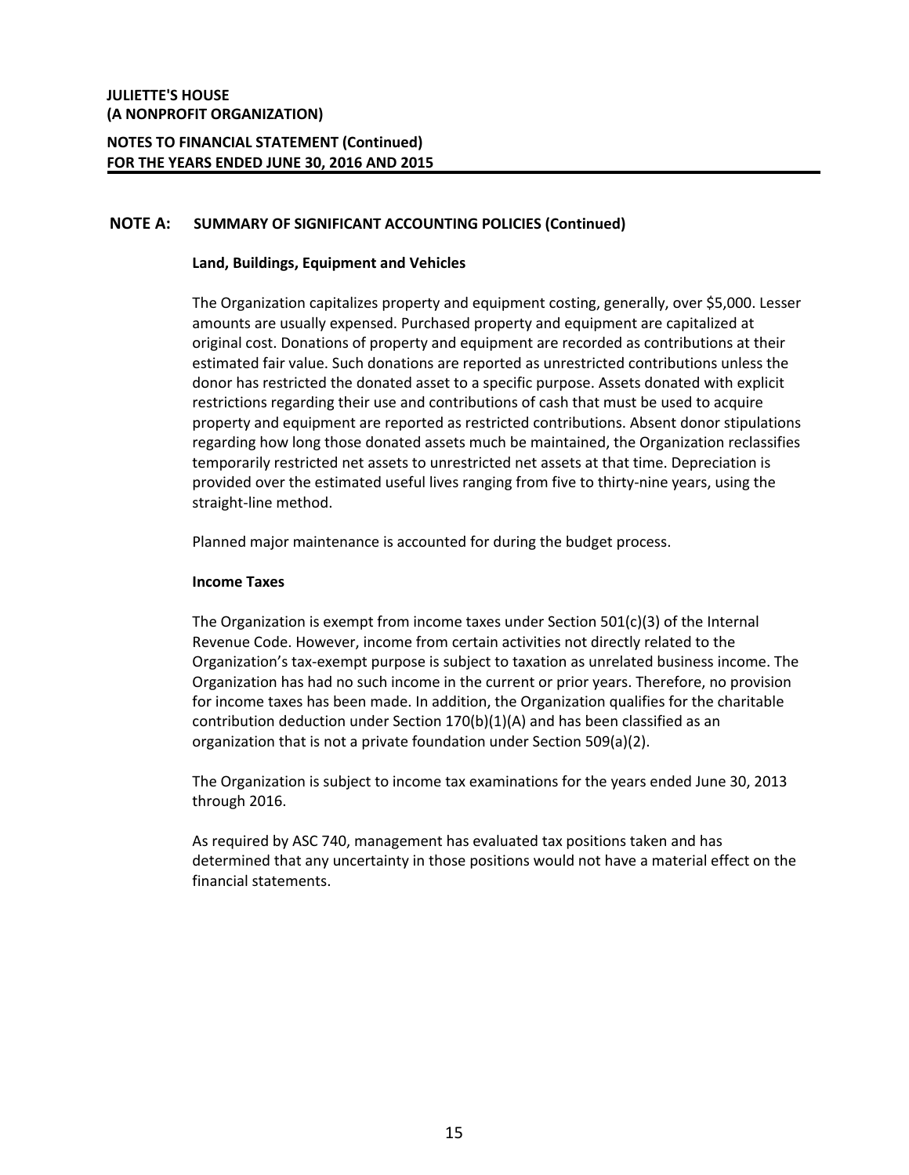### **NOTE A: SUMMARY OF SIGNIFICANT ACCOUNTING POLICIES (Continued)**

#### **Land, Buildings, Equipment and Vehicles**

The Organization capitalizes property and equipment costing, generally, over \$5,000. Lesser amounts are usually expensed. Purchased property and equipment are capitalized at original cost. Donations of property and equipment are recorded as contributions at their estimated fair value. Such donations are reported as unrestricted contributions unless the donor has restricted the donated asset to a specific purpose. Assets donated with explicit restrictions regarding their use and contributions of cash that must be used to acquire property and equipment are reported as restricted contributions. Absent donor stipulations regarding how long those donated assets much be maintained, the Organization reclassifies temporarily restricted net assets to unrestricted net assets at that time. Depreciation is provided over the estimated useful lives ranging from five to thirty-nine years, using the straight-line method.

Planned major maintenance is accounted for during the budget process.

#### **Income Taxes**

The Organization is exempt from income taxes under Section  $501(c)(3)$  of the Internal Revenue Code. However, income from certain activities not directly related to the Organization's tax-exempt purpose is subject to taxation as unrelated business income. The Organization has had no such income in the current or prior years. Therefore, no provision for income taxes has been made. In addition, the Organization qualifies for the charitable contribution deduction under Section 170(b)(1)(A) and has been classified as an organization that is not a private foundation under Section 509(a)(2).

The Organization is subject to income tax examinations for the years ended June 30, 2013 through 2016.

As required by ASC 740, management has evaluated tax positions taken and has determined that any uncertainty in those positions would not have a material effect on the financial statements.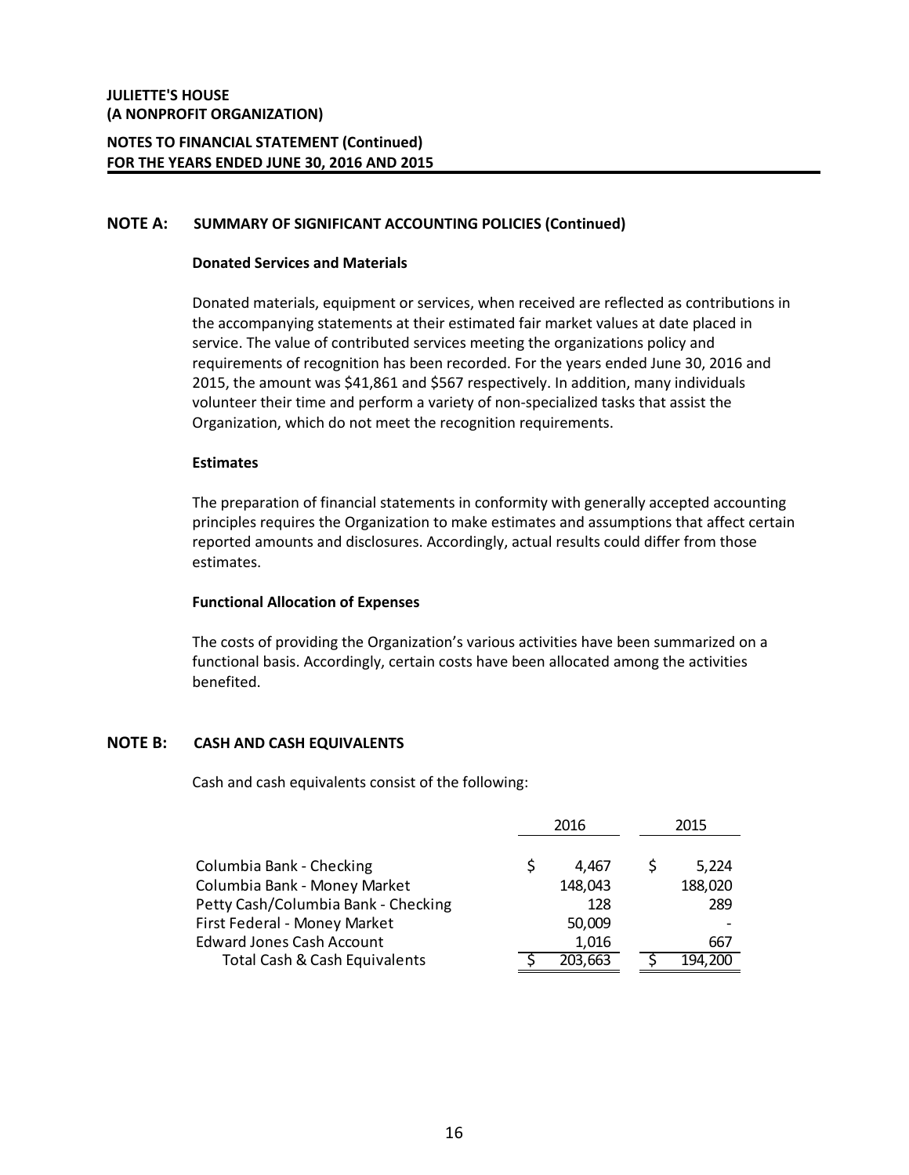### **NOTE A: SUMMARY OF SIGNIFICANT ACCOUNTING POLICIES (Continued)**

#### **Donated Services and Materials**

Donated materials, equipment or services, when received are reflected as contributions in the accompanying statements at their estimated fair market values at date placed in service. The value of contributed services meeting the organizations policy and requirements of recognition has been recorded. For the years ended June 30, 2016 and 2015, the amount was \$41,861 and \$567 respectively. In addition, many individuals volunteer their time and perform a variety of non-specialized tasks that assist the Organization, which do not meet the recognition requirements.

#### **Estimates**

The preparation of financial statements in conformity with generally accepted accounting principles requires the Organization to make estimates and assumptions that affect certain reported amounts and disclosures. Accordingly, actual results could differ from those estimates.

#### **Functional Allocation of Expenses**

The costs of providing the Organization's various activities have been summarized on a functional basis. Accordingly, certain costs have been allocated among the activities benefited.

### **NOTE B: CASH AND CASH EQUIVALENTS**

Cash and cash equivalents consist of the following:

| 2016                                       | 2015    |
|--------------------------------------------|---------|
|                                            |         |
| Columbia Bank - Checking<br>Ś<br>4.467     | 5.224   |
| Columbia Bank - Money Market<br>148,043    | 188,020 |
| Petty Cash/Columbia Bank - Checking<br>128 | 289     |
| First Federal - Money Market<br>50,009     |         |
| <b>Edward Jones Cash Account</b><br>1,016  | 667     |
| Total Cash & Cash Equivalents<br>203,663   | 194,200 |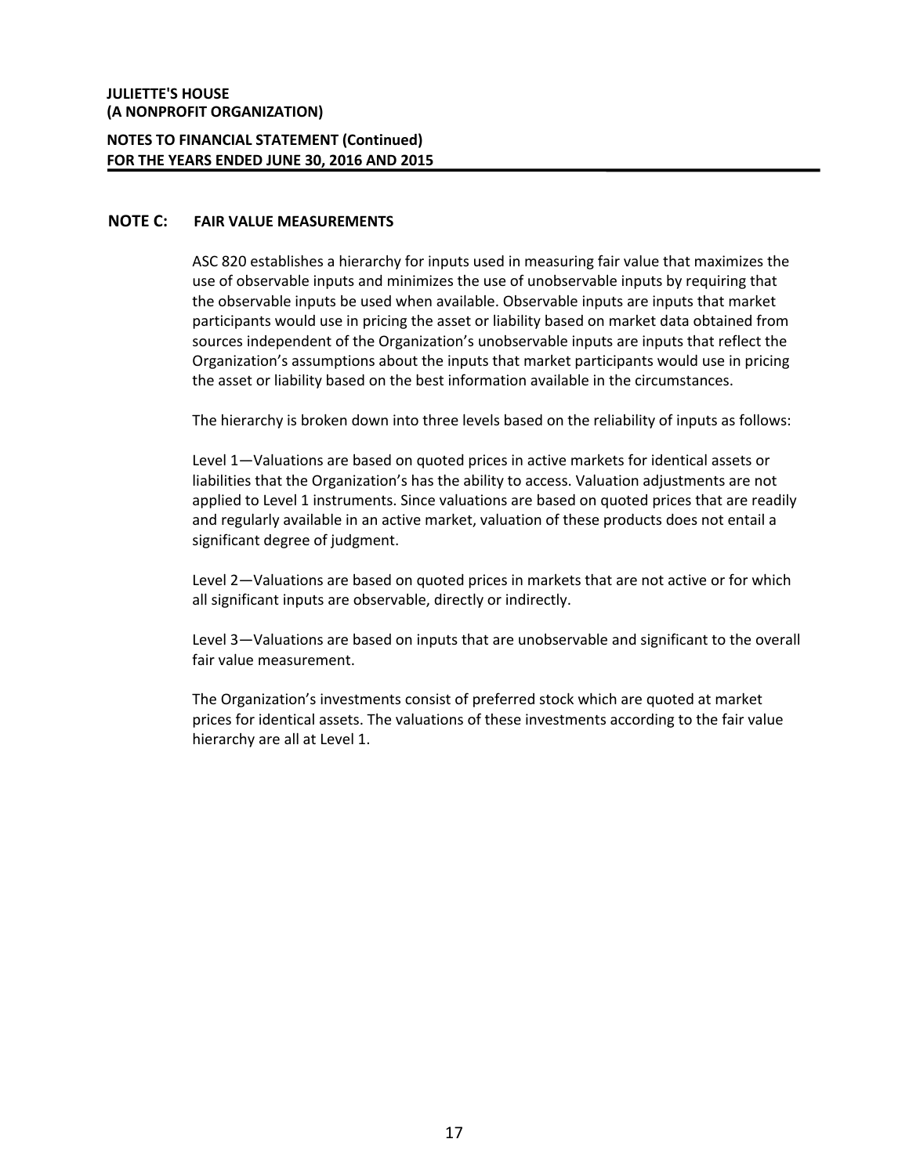# **NOTE C: FAIR VALUE MEASUREMENTS**

ASC 820 establishes a hierarchy for inputs used in measuring fair value that maximizes the use of observable inputs and minimizes the use of unobservable inputs by requiring that the observable inputs be used when available. Observable inputs are inputs that market participants would use in pricing the asset or liability based on market data obtained from sources independent of the Organization's unobservable inputs are inputs that reflect the Organization's assumptions about the inputs that market participants would use in pricing the asset or liability based on the best information available in the circumstances.

The hierarchy is broken down into three levels based on the reliability of inputs as follows:

Level 1—Valuations are based on quoted prices in active markets for identical assets or liabilities that the Organization's has the ability to access. Valuation adjustments are not applied to Level 1 instruments. Since valuations are based on quoted prices that are readily and regularly available in an active market, valuation of these products does not entail a significant degree of judgment.

Level 2—Valuations are based on quoted prices in markets that are not active or for which all significant inputs are observable, directly or indirectly.

Level 3—Valuations are based on inputs that are unobservable and significant to the overall fair value measurement.

The Organization's investments consist of preferred stock which are quoted at market prices for identical assets. The valuations of these investments according to the fair value hierarchy are all at Level 1.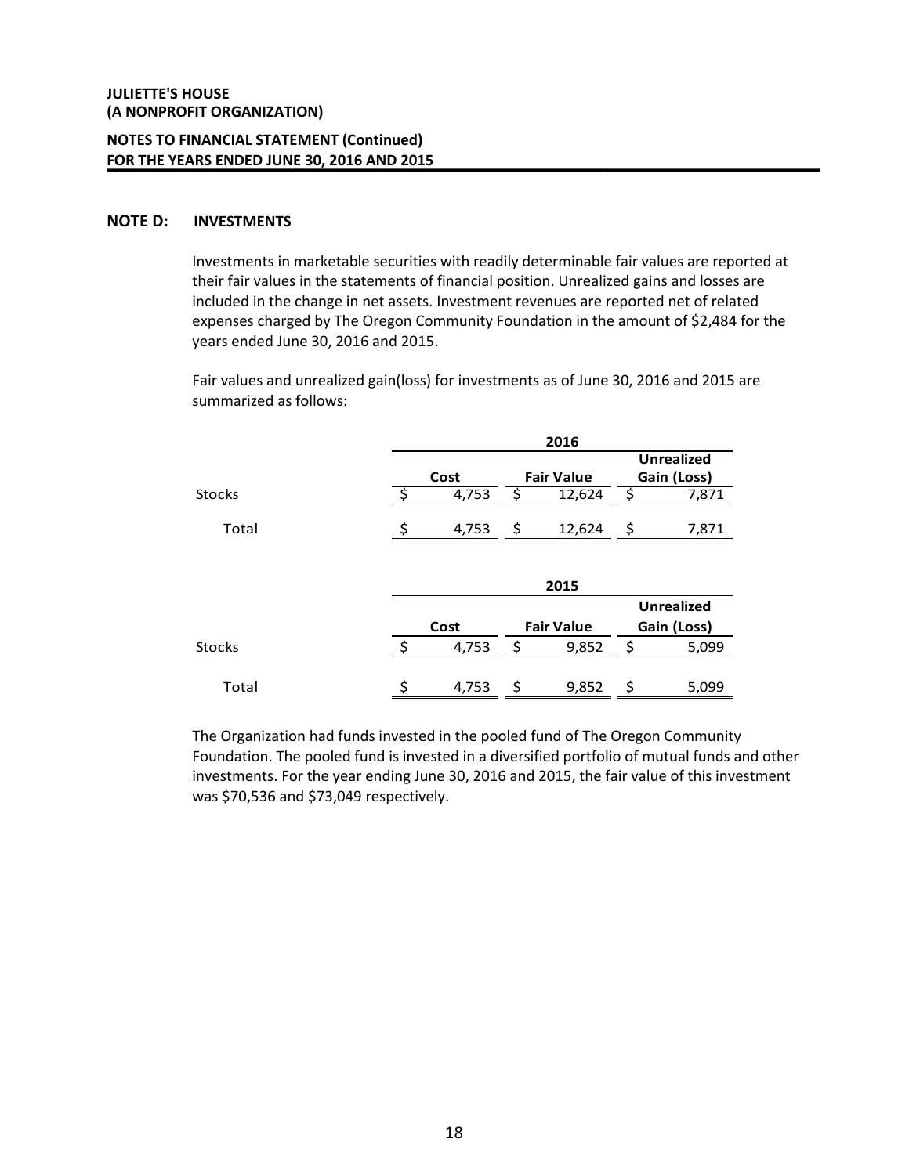# **NOTE D: INVESTMENTS**

Investments in marketable securities with readily determinable fair values are reported at their fair values in the statements of financial position. Unrealized gains and losses are included in the change in net assets. Investment revenues are reported net of related expenses charged by The Oregon Community Foundation in the amount of \$2,484 for the years ended June 30, 2016 and 2015.

Fair values and unrealized gain(loss) for investments as of June 30, 2016 and 2015 are summarized as follows:

|               | 2016         |       |      |                   |    |                   |  |  |  |
|---------------|--------------|-------|------|-------------------|----|-------------------|--|--|--|
|               |              |       |      |                   |    | <b>Unrealized</b> |  |  |  |
|               |              | Cost  |      | <b>Fair Value</b> |    | Gain (Loss)       |  |  |  |
| <b>Stocks</b> | -\$          | 4,753 | -\$  | 12,624            | \$ | 7,871             |  |  |  |
| Total         | <sup>5</sup> | 4,753 | - \$ | 12,624            | \$ | 7,871             |  |  |  |
|               |              |       |      |                   |    |                   |  |  |  |
|               |              |       |      | 2015              |    |                   |  |  |  |
|               |              |       |      |                   |    | <b>Unrealized</b> |  |  |  |
|               |              | Cost  |      | <b>Fair Value</b> |    | Gain (Loss)       |  |  |  |
| <b>Stocks</b> | ς.           | 4,753 | \$   | 9,852             | \$ | 5,099             |  |  |  |
|               |              |       |      |                   |    |                   |  |  |  |
| Total         |              | 4,753 | -\$  | 9,852             | \$ | 5,099             |  |  |  |

The Organization had funds invested in the pooled fund of The Oregon Community Foundation. The pooled fund is invested in a diversified portfolio of mutual funds and other investments. For the year ending June 30, 2016 and 2015, the fair value of this investment was \$70,536 and \$73,049 respectively.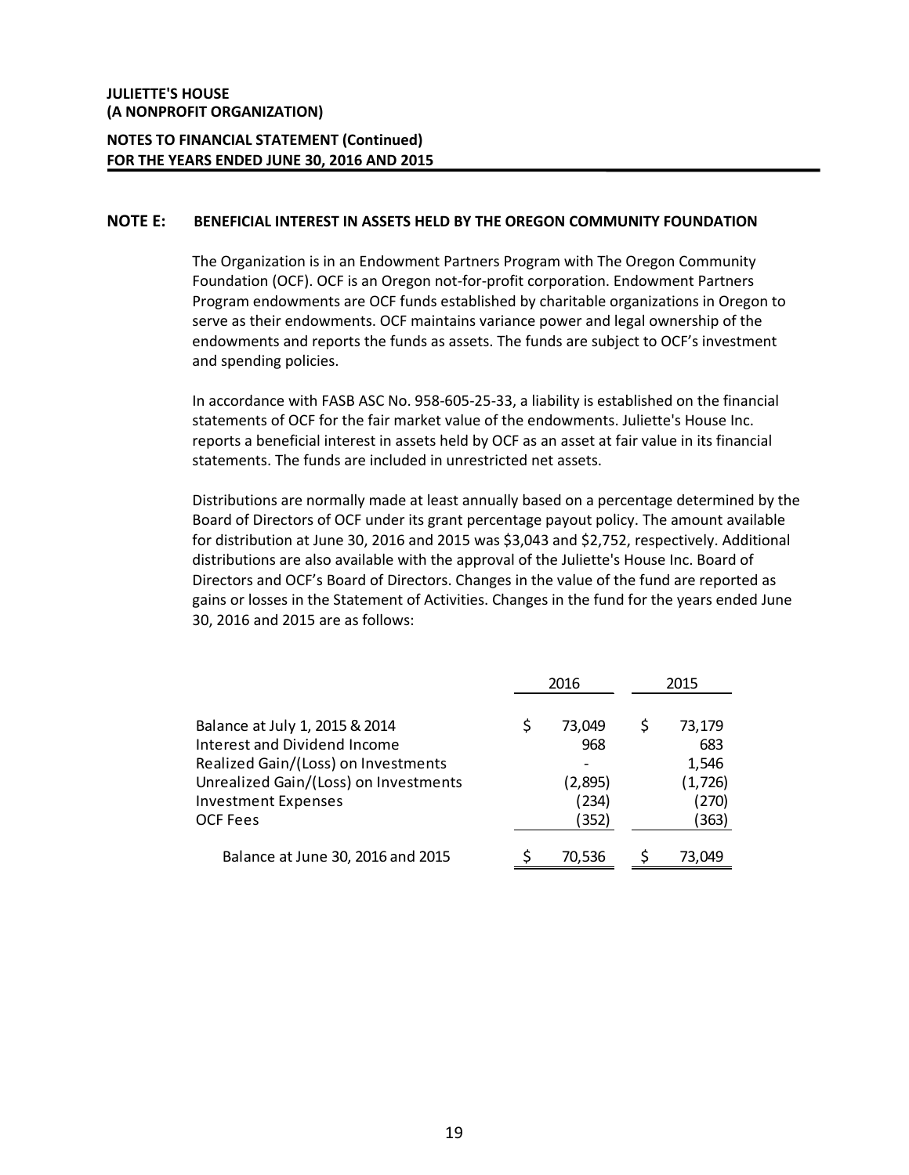# **NOTE E: BENEFICIAL INTEREST IN ASSETS HELD BY THE OREGON COMMUNITY FOUNDATION**

The Organization is in an Endowment Partners Program with The Oregon Community Foundation (OCF). OCF is an Oregon not-for-profit corporation. Endowment Partners Program endowments are OCF funds established by charitable organizations in Oregon to serve as their endowments. OCF maintains variance power and legal ownership of the endowments and reports the funds as assets. The funds are subject to OCF's investment and spending policies.

In accordance with FASB ASC No. 958-605-25-33, a liability is established on the financial statements of OCF for the fair market value of the endowments. Juliette's House Inc. reports a beneficial interest in assets held by OCF as an asset at fair value in its financial statements. The funds are included in unrestricted net assets.

Distributions are normally made at least annually based on a percentage determined by the Board of Directors of OCF under its grant percentage payout policy. The amount available for distribution at June 30, 2016 and 2015 was \$3,043 and \$2,752, respectively. Additional distributions are also available with the approval of the Juliette's House Inc. Board of Directors and OCF's Board of Directors. Changes in the value of the fund are reported as gains or losses in the Statement of Activities. Changes in the fund for the years ended June 30, 2016 and 2015 are as follows:

|                                       |   | 2016    | 2015     |
|---------------------------------------|---|---------|----------|
|                                       |   |         |          |
| Balance at July 1, 2015 & 2014        | Ś | 73,049  | 73,179   |
| <b>Interest and Dividend Income</b>   |   | 968     | 683      |
| Realized Gain/(Loss) on Investments   |   |         | 1,546    |
| Unrealized Gain/(Loss) on Investments |   | (2,895) | (1, 726) |
| <b>Investment Expenses</b>            |   | (234)   | (270)    |
| OCF Fees                              |   | (352)   | (363)    |
| Balance at June 30, 2016 and 2015     |   | 70,536  | 73.049   |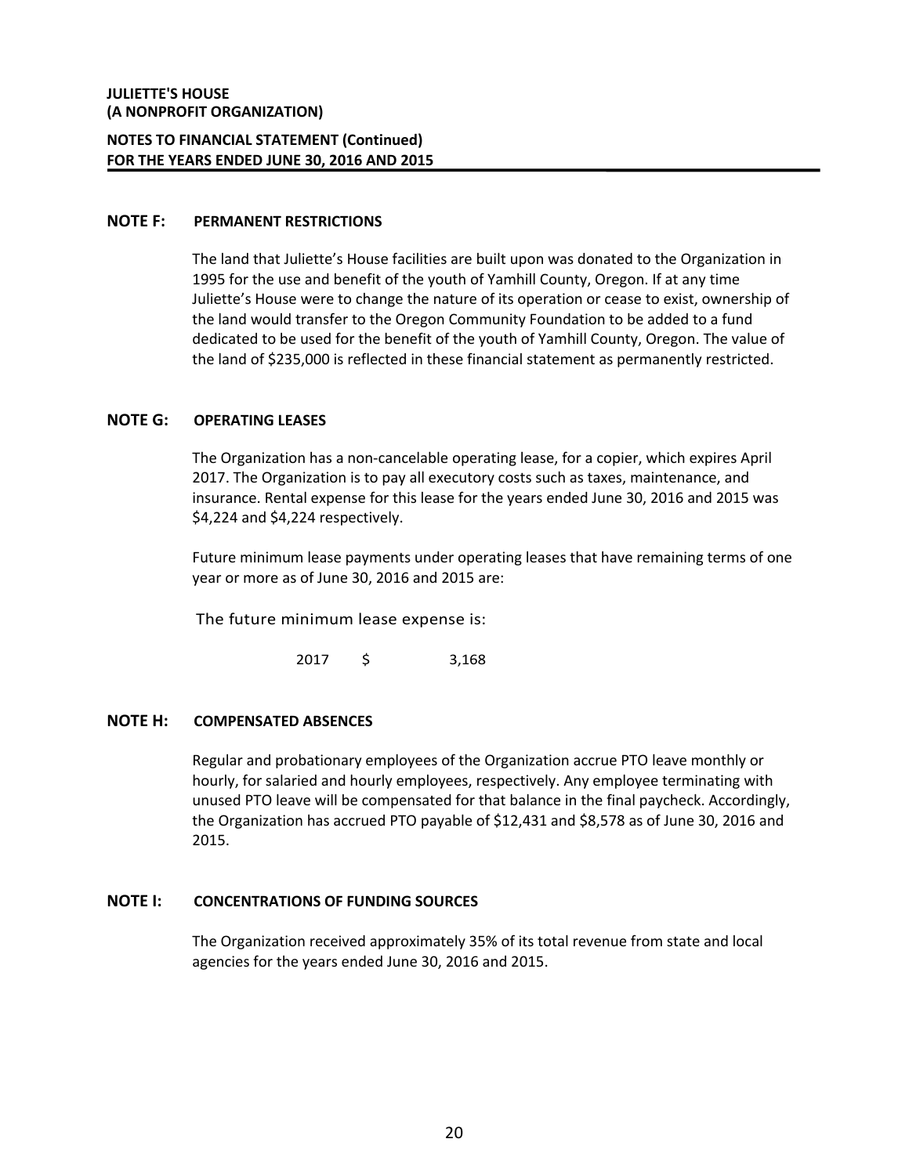# **NOTE F: PERMANENT RESTRICTIONS**

The land that Juliette's House facilities are built upon was donated to the Organization in 1995 for the use and benefit of the youth of Yamhill County, Oregon. If at any time Juliette's House were to change the nature of its operation or cease to exist, ownership of the land would transfer to the Oregon Community Foundation to be added to a fund dedicated to be used for the benefit of the youth of Yamhill County, Oregon. The value of the land of \$235,000 is reflected in these financial statement as permanently restricted.

# **NOTE G: OPERATING LEASES**

The Organization has a non-cancelable operating lease, for a copier, which expires April 2017. The Organization is to pay all executory costs such as taxes, maintenance, and insurance. Rental expense for this lease for the years ended June 30, 2016 and 2015 was \$4,224 and \$4,224 respectively.

Future minimum lease payments under operating leases that have remaining terms of one year or more as of June 30, 2016 and 2015 are:

The future minimum lease expense is:

2017 \$ 3,168

# **NOTE H: COMPENSATED ABSENCES**

Regular and probationary employees of the Organization accrue PTO leave monthly or hourly, for salaried and hourly employees, respectively. Any employee terminating with unused PTO leave will be compensated for that balance in the final paycheck. Accordingly, the Organization has accrued PTO payable of \$12,431 and \$8,578 as of June 30, 2016 and 2015.

# **NOTE I: CONCENTRATIONS OF FUNDING SOURCES**

The Organization received approximately 35% of its total revenue from state and local agencies for the years ended June 30, 2016 and 2015.